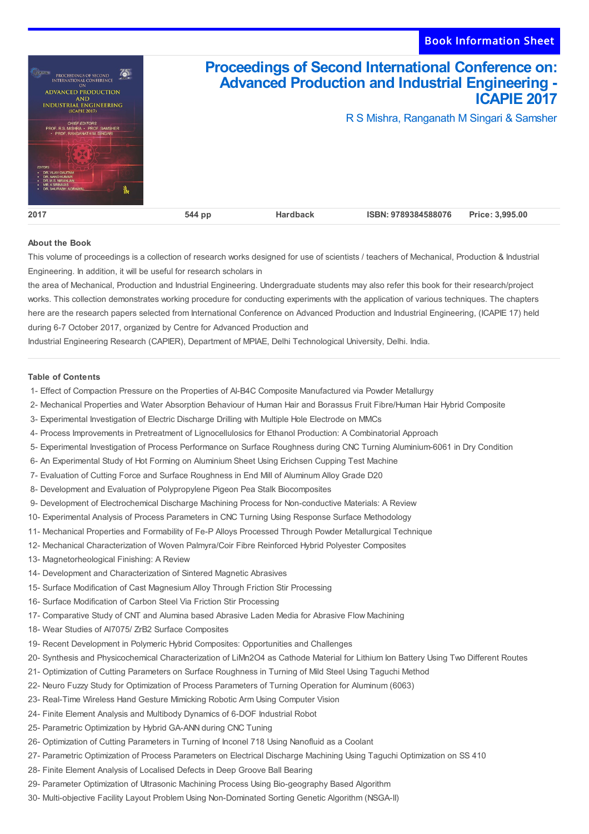

## **About the Book**

This volume of proceedings is a collection of research works designed for use of scientists / teachers of Mechanical, Production & Industrial Engineering. In addition, it will be useful for research scholars in

the area of Mechanical, Production and Industrial Engineering. Undergraduate students may also refer this book for their research/project works. This collection demonstrates working procedure for conducting experiments with the application of various techniques. The chapters here are the research papers selected from International Conference on Advanced Production and Industrial Engineering, (ICAPIE 17) held during 6-7 October 2017, organized by Centre for Advanced Production and

Industrial Engineering Research (CAPIER), Department of MPIAE, Delhi Technological University, Delhi. India.

## **Table of Contents**

- 1- Effect of Compaction Pressure on the Properties of Al-B4C Composite Manufactured via Powder Metallurgy
- 2- Mechanical Properties and Water Absorption Behaviour of Human Hair and Borassus Fruit Fibre/Human Hair Hybrid Composite
- 3- Experimental Investigation of Electric Discharge Drilling with Multiple Hole Electrode on MMCs
- 4- Process Improvements in Pretreatment of Lignocellulosics for Ethanol Production: A Combinatorial Approach
- 5- Experimental Investigation of Process Performance on Surface Roughness during CNC Turning Aluminium-6061 in Dry Condition
- 6- An Experimental Study of Hot Forming on Aluminium Sheet Using Erichsen Cupping Test Machine
- 7- Evaluation of Cutting Force and Surface Roughness in End Mill of Aluminum Alloy Grade D20
- 8- Development and Evaluation of Polypropylene Pigeon Pea Stalk Biocomposites
- 9- Development of Electrochemical Discharge Machining Process for Non-conductive Materials: A Review
- 10- Experimental Analysis of Process Parameters in CNC Turning Using Response Surface Methodology
- 11- Mechanical Properties and Formability of Fe-P Alloys Processed Through Powder Metallurgical Technique
- 12- Mechanical Characterization of Woven Palmyra/Coir Fibre Reinforced Hybrid Polyester Composites
- 13- Magnetorheological Finishing: A Review
- 14- Development and Characterization of Sintered Magnetic Abrasives
- 15- Surface Modification of Cast Magnesium Alloy Through Friction Stir Processing
- 16- Surface Modification of Carbon Steel Via Friction Stir Processing
- 17- Comparative Study of CNT and Alumina based Abrasive Laden Media for Abrasive Flow Machining
- 18- Wear Studies of Al7075/ ZrB2 Surface Composites
- 19- Recent Development in Polymeric Hybrid Composites: Opportunities and Challenges
- 20- Synthesis and Physicochemical Characterization of LiMn2O4 as Cathode Material for Lithium Ion Battery Using Two Different Routes
- 21- Optimization of Cutting Parameters on Surface Roughness in Turning of Mild Steel Using Taguchi Method
- 22- Neuro Fuzzy Study for Optimization of Process Parameters of Turning Operation for Aluminum (6063)
- 23- Real-Time Wireless Hand Gesture Mimicking Robotic Arm Using Computer Vision
- 24- Finite Element Analysis and Multibody Dynamics of 6-DOF Industrial Robot
- 25- Parametric Optimization by Hybrid GA-ANN during CNC Tuning
- 26- Optimization of Cutting Parameters in Turning of Inconel 718 Using Nanofluid as a Coolant
- 27- Parametric Optimization of Process Parameters on Electrical Discharge Machining Using Taguchi Optimization on SS 410
- 28- Finite Element Analysis of Localised Defects in Deep Groove Ball Bearing
- 29- Parameter Optimization of Ultrasonic Machining Process Using Bio-geography Based Algorithm
- 30- Multi-objective Facility Layout Problem Using Non-Dominated Sorting Genetic Algorithm (NSGA-II)